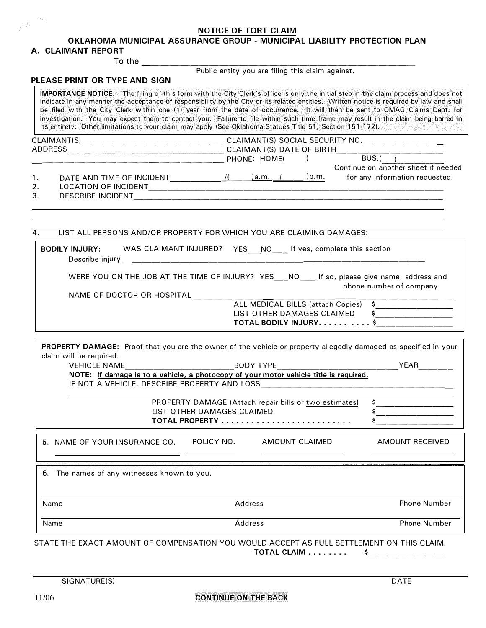## **NOTICE OF TORT CLAIM**

**OKLAHOMA MUNICIPAL ASSURANCE GROUP - MUNICIPAL LIABILITY PROTECTION PLAN** 

## **A. CLAIMANT REPORT**

To the  $\qquad \qquad \qquad \qquad$ 

Public entity you are filing this claim against.

## **PLEASE PRINT OR TYPE AND SIGN**

**IMPORTANCE NOTICE:** The filing of this form with the City Clerk's office is only the initial step in the claim process and does not indicate in any manner the acceptance of responsibility by the City or its related entities. Written notice is required by law and shall be filed with the City Clerk within one (1) year from the date of occurrence. It will then be sent to OMAG Claims Dept. for investigation. You may expect them to contact you. Failure to file within such time frame may result in the claim being barred in its entirety. Other limitations to your claim may apply (See Oklahoma Statues Title 51, Section 151-172). CLAIMANT(S) \_\_\_\_\_\_\_\_\_\_\_\_\_\_\_\_\_\_\_\_\_\_\_\_\_\_\_\_\_\_\_\_\_\_ CLAIMANT(S) SOCIAL SECURITY NO. ADDRESS CLAIMANT(S) DATE OF BIRTH \_\_\_\_\_\_\_\_\_ \_ \_\_\_\_\_\_\_\_\_\_\_\_\_\_\_\_\_\_ PHONE: HOME( l BUS.( 1 . 2. 3. Continue on another sheet if needed DATE AND TIME OF INCIDENT  $\underline{\hspace{1cm}}$   $\underline{\hspace{1cm}}$   $\underline{\hspace{1cm}}$   $\underline{\hspace{1cm}}$  a.m.  $\underline{\hspace{1cm}}$   $\underline{\hspace{1cm}}$   $\underline{\hspace{1cm}}$  for any information requested) LOCATION OF INCIDENT ------------------------------- DESCRIBE INCIDENT 4. LIST ALL PERSONS AND/OR PROPERTY FOR WHICH YOU ARE CLAIMING DAMAGES: **BODILY INJURY:** WAS CLAIMANT INJURED? YES NO If yes, complete this section Describe injury \_ WERE YOU ON THE JOB AT THE TIME OF INJURY?  $\,$  YES\_\_\_\_NO\_\_\_\_ If so, please give name, address and phone number of company NAME OF DOCTOR OR HOSPITAL ALL MEDICAL BILLS (attach Copies)  $\quad$  \$\_\_\_\_\_\_\_\_\_\_\_\_\_\_\_\_\_  $\overline{\phantom{a}}$  , we can also the contract of  $\overline{\phantom{a}}$ \_\_\_\_\_\_\_\_ \_\_ \_ LIST OTHER DAMAGES CLAIMED \$\_<br>TOTAL BODILY INJURY. . . . . . . . . . \$

| PROPERTY DAMAGE: Proof that you are the owner of the vehicle or property allegedly damaged as specified in your |            |                |                     |  |  |
|-----------------------------------------------------------------------------------------------------------------|------------|----------------|---------------------|--|--|
| claim will be required.                                                                                         |            |                |                     |  |  |
| <b>VEHICLE NAME</b>                                                                                             | BODY TYPE  |                | YEAR                |  |  |
| NOTE: If damage is to a vehicle, a photocopy of your motor vehicle title is required.                           |            |                |                     |  |  |
| IF NOT A VEHICLE, DESCRIBE PROPERTY AND LOSS                                                                    |            |                |                     |  |  |
|                                                                                                                 |            |                |                     |  |  |
| PROPERTY DAMAGE (Attach repair bills or two estimates)<br>\$.                                                   |            |                |                     |  |  |
| LIST OTHER DAMAGES CLAIMED                                                                                      |            |                |                     |  |  |
|                                                                                                                 |            |                |                     |  |  |
| 5. NAME OF YOUR INSURANCE CO.                                                                                   | POLICY NO. | AMOUNT CLAIMED | AMOUNT RECEIVED     |  |  |
| The names of any witnesses known to you.<br>6.                                                                  |            |                |                     |  |  |
| Name                                                                                                            | Address    |                | <b>Phone Number</b> |  |  |
| Name                                                                                                            | Address    |                | <b>Phone Number</b> |  |  |
| STATE THE EXACT AMOUNT OF COMPENSATION YOU WOULD ACCEPT AS FULL SETTLEMENT ON THIS CLAIM.                       |            |                |                     |  |  |

TOTAL CLAIM . . . . . . . . . \$\_\_\_\_\_\_\_\_\_\_\_\_\_\_\_\_